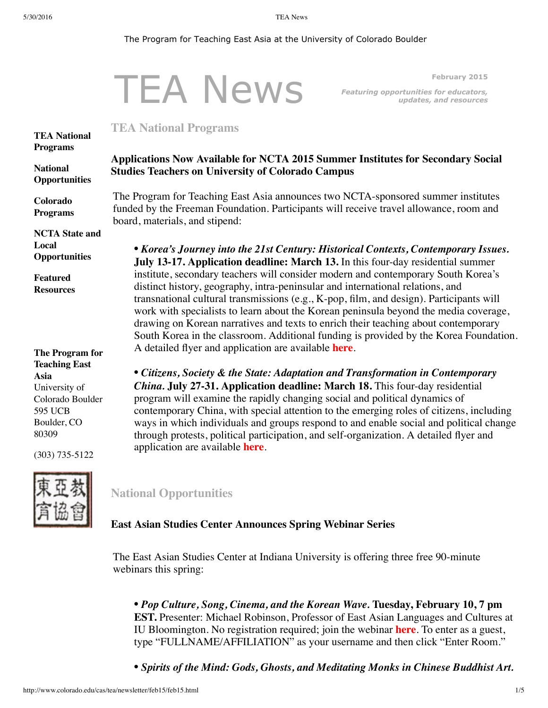#### <span id="page-0-0"></span>The Program for Teaching East Asia at the University of Colorado Boulder

# TEA News **February 2015** *Featuring opportunities for educators, updates, and resources* **TEA National Programs Applications Now Available for NCTA 2015 Summer Institutes for Secondary Social Studies Teachers on University of Colorado Campus** The Program for Teaching East Asia announces two NCTA-sponsored summer institutes funded by the Freeman Foundation. Participants will receive travel allowance, room and board, materials, and stipend: *• Korea's Journey into the 21st Century: Historical Contexts, Contemporary Issues.* **July 13-17. Application deadline: March 13.** In this four-day residential summer institute, secondary teachers will consider modern and contemporary South Korea's distinct history, geography, intra-peninsular and international relations, and transnational cultural transmissions (e.g., K-pop, film, and design). Participants will work with specialists to learn about the Korean peninsula beyond the media coverage, drawing on Korean narratives and texts to enrich their teaching about contemporary South Korea in the classroom. Additional funding is provided by the Korea Foundation. A detailed flyer and application are available **[here](http://www.colorado.edu/cas/tea/ncta/downloads/KoreaSI2015Application.pdf)**.

*• Citizens, Society & the State: Adaptation and Transformation in Contemporary China.* **July 27-31. Application deadline: March 18.** This four-day residential program will examine the rapidly changing social and political dynamics of contemporary China, with special attention to the emerging roles of citizens, including ways in which individuals and groups respond to and enable social and political change through protests, political participation, and self-organization. A detailed flyer and application are available **[here](http://www.colorado.edu/cas/tea/ncta/downloads/China_SI15_application.pdf)**.

### <span id="page-0-1"></span>**National Opportunities**

### **East Asian Studies Center Announces Spring Webinar Series**

The East Asian Studies Center at Indiana University is offering three free 90-minute webinars this spring:

*• Pop Culture, Song, Cinema, and the Korean Wave.* **Tuesday, February 10, 7 pm EST.** Presenter: Michael Robinson, Professor of East Asian Languages and Cultures at IU Bloomington. No registration required; join the webinar **[here](https://connect.iu.edu/feb10)**. To enter as a guest, type "FULLNAME/AFFILIATION" as your username and then click "Enter Room."

*• Spirits of the Mind: Gods, Ghosts, and Meditating Monks in Chinese Buddhist Art.*

**National [Opportunities](#page-0-1)**

**Colorado [Programs](#page-2-0)**

**NCTA State and Local [Opportunities](#page-3-0)**

**Featured [Resources](#page-3-1)**

**The Program for Teaching East Asia** University of Colorado Boulder 595 UCB Boulder, CO 80309

(303) 735-5122

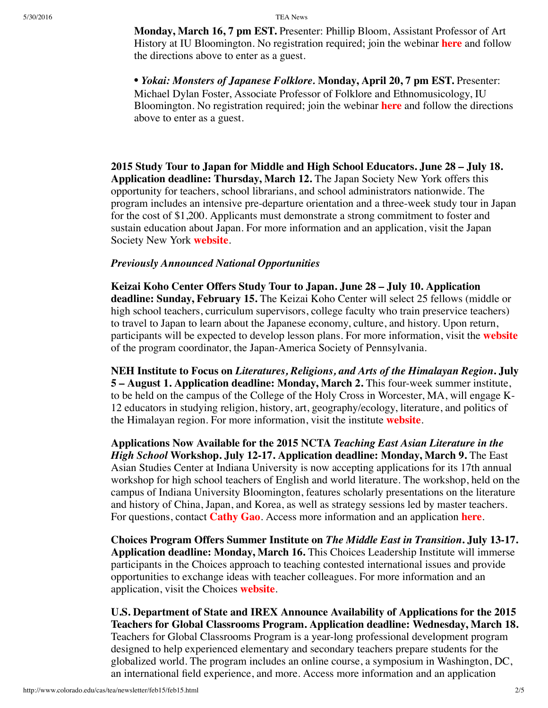**Monday, March 16, 7 pm EST.** Presenter: Phillip Bloom, Assistant Professor of Art History at IU Bloomington. No registration required; join the webinar **[here](https://connect.iu.edu/mar16/)** and follow the directions above to enter as a guest.

• *Yokai: Monsters of Japanese Folklore.* **Monday, April 20, 7 pm EST.** Presenter: Michael Dylan Foster, Associate Professor of Folklore and Ethnomusicology, IU Bloomington. No registration required; join the webinar **[here](https://connect.iu.edu/april20/)** and follow the directions above to enter as a guest.

**2015 Study Tour to Japan for Middle and High School Educators. June 28 – July 18. Application deadline: Thursday, March 12.** The Japan Society New York offers this opportunity for teachers, school librarians, and school administrators nationwide. The program includes an intensive pre-departure orientation and a three-week study tour in Japan for the cost of \$1,200. Applicants must demonstrate a strong commitment to foster and sustain education about Japan. For more information and an application, visit the Japan Society New York **[website](http://www.japansociety.org/educators_study_tour)**.

### *Previously Announced National Opportunities*

**Keizai Koho Center Offers Study Tour to Japan. June 28 – July 10. Application deadline: Sunday, February 15.** The Keizai Koho Center will select 25 fellows (middle or high school teachers, curriculum supervisors, college faculty who train preservice teachers) to travel to Japan to learn about the Japanese economy, culture, and history. Upon return, participants will be expected to develop lesson plans. For more information, visit the **[website](http://www.us-japan.org/programs/kkc/k2015/index.html)** of the program coordinator, the Japan-America Society of Pennsylvania.

**NEH Institute to Focus on** *Literatures, Religions, and Arts of the Himalayan Region***. July 5 – August 1. Application deadline: Monday, March 2.** This four-week summer institute, to be held on the campus of the College of the Holy Cross in Worcester, MA, will engage K-12 educators in studying religion, history, art, geography/ecology, literature, and politics of the Himalayan region. For more information, visit the institute **[website](http://college.holycross.edu/projects/himalayan_cultures/)**.

<span id="page-1-0"></span>**Applications Now Available for the 2015 NCTA** *Teaching East Asian Literature in the High School* **Workshop. July 12-17. Application deadline: Monday, March 9.** The East Asian Studies Center at Indiana University is now accepting applications for its 17th annual workshop for high school teachers of English and world literature. The workshop, held on the campus of Indiana University Bloomington, features scholarly presentations on the literature and history of China, Japan, and Korea, as well as strategy sessions led by master teachers. For questions, contact **[Cathy](mailto:leigao@indiana.edu) Gao**. Access more information and an application **[here](http://www.indiana.edu/~easc/outreach/educators/literature/index.shtml)**.

**Choices Program Offers Summer Institute on** *The Middle East in Transition***. July 13-17. Application deadline: Monday, March 16.** This Choices Leadership Institute will immerse participants in the Choices approach to teaching contested international issues and provide opportunities to exchange ideas with teacher colleagues. For more information and an application, visit the Choices **[website](http://www.choices.edu/pd/institutes/institute-2015)**.

**U.S. Department of State and IREX Announce Availability of Applications for the 2015 Teachers for Global Classrooms Program. Application deadline: Wednesday, March 18.** Teachers for Global Classrooms Program is a year-long professional development program designed to help experienced elementary and secondary teachers prepare students for the globalized world. The program includes an online course, a symposium in Washington, DC, an international field experience, and more. Access more information and an application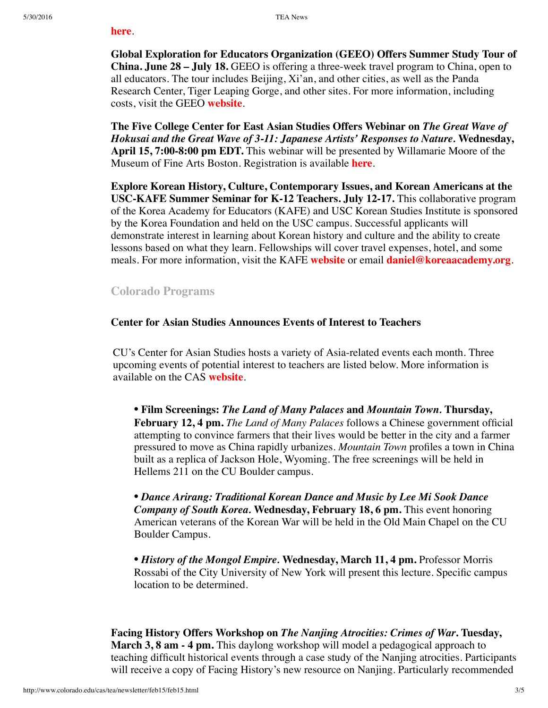#### **[here](http://www.irex.org/application/teachers-global-classrooms-tgc-american-teachers-application-information)**.

**Global Exploration for Educators Organization (GEEO) Offers Summer Study Tour of China. June 28 – July 18.** GEEO is offering a three-week travel program to China, open to all educators. The tour includes Beijing, Xi'an, and other cities, as well as the Panda Research Center, Tiger Leaping Gorge, and other sites. For more information, including costs, visit the GEEO **[website](http://www.geeo.org/tours/China/)**.

**The Five College Center for East Asian Studies Offers Webinar on** *The Great Wave of Hokusai and the Great Wave of 3-11: Japanese Artists' Responses to Nature.* **Wednesday, April 15, 7:00-8:00 pm EDT.** This webinar will be presented by Willamarie Moore of the Museum of Fine Arts Boston. Registration is available **[here](https://attendee.gotowebinar.com/register/4135220713692853762)**.

**Explore Korean History, Culture, Contemporary Issues, and Korean Americans at the USC-KAFE Summer Seminar for K-12 Teachers. July 12-17.** This collaborative program of the Korea Academy for Educators (KAFE) and USC Korean Studies Institute is sponsored by the Korea Foundation and held on the USC campus. Successful applicants will demonstrate interest in learning about Korean history and culture and the ability to create lessons based on what they learn. Fellowships will cover travel expenses, hotel, and some meals. For more information, visit the KAFE **[website](http://www.koreaacademy.org/)** or email **[daniel@koreaacademy.org](mailto:daniel@koreaacademy.org)**.

## <span id="page-2-0"></span>**Colorado Programs**

### **Center for Asian Studies Announces Events of Interest to Teachers**

CU's Center for Asian Studies hosts a variety of Asia-related events each month. Three upcoming events of potential interest to teachers are listed below. More information is available on the CAS **[website](http://cas.colorado.edu/speaker-series)**.

*•* **Film Screenings:** *The Land of Many Palaces* **and** *Mountain Town.* **Thursday, February 12, 4 pm.** *The Land of Many Palaces* follows a Chinese government official attempting to convince farmers that their lives would be better in the city and a farmer pressured to move as China rapidly urbanizes. *Mountain Town* profiles a town in China built as a replica of Jackson Hole, Wyoming. The free screenings will be held in Hellems 211 on the CU Boulder campus.

*• Dance Arirang: Traditional Korean Dance and Music by Lee Mi Sook Dance Company of South Korea.* **Wednesday, February 18, 6 pm.** This event honoring American veterans of the Korean War will be held in the Old Main Chapel on the CU Boulder Campus.

*• History of the Mongol Empire.* **Wednesday, March 11, 4 pm.** Professor Morris Rossabi of the City University of New York will present this lecture. Specific campus location to be determined.

**Facing History Offers Workshop on** *The Nanjing Atrocities: Crimes of War***. Tuesday, March 3, 8 am - 4 pm.** This daylong workshop will model a pedagogical approach to teaching difficult historical events through a case study of the Nanjing atrocities. Participants will receive a copy of Facing History's new resource on Nanjing. Particularly recommended